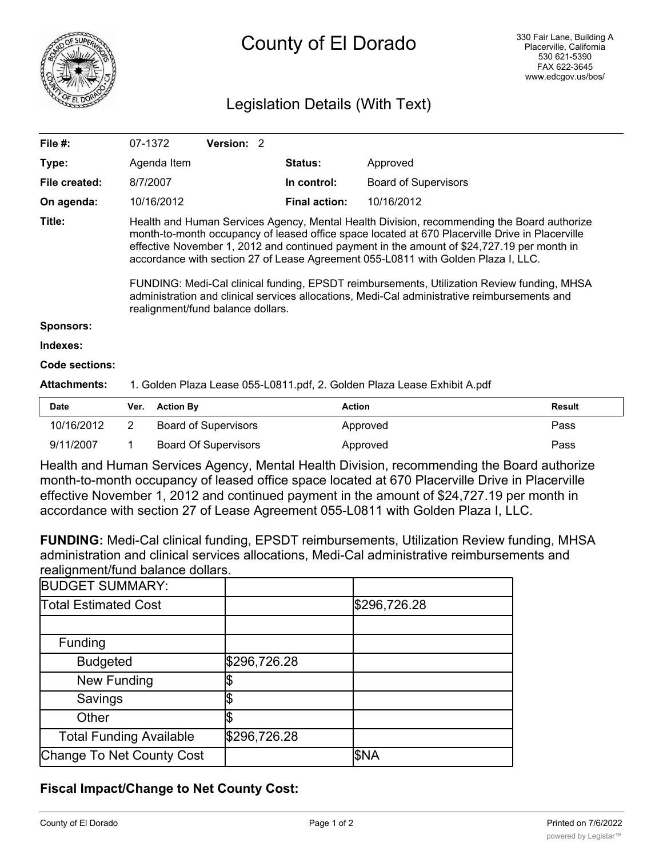

# County of El Dorado

# Legislation Details (With Text)

| File $#$ :          | 07-1372                                                                                                                                                                                                                                                                                                                                                                                                                                                                                                                                                                                                             | Version: 2 |                      |                             |  |
|---------------------|---------------------------------------------------------------------------------------------------------------------------------------------------------------------------------------------------------------------------------------------------------------------------------------------------------------------------------------------------------------------------------------------------------------------------------------------------------------------------------------------------------------------------------------------------------------------------------------------------------------------|------------|----------------------|-----------------------------|--|
| Type:               | Agenda Item                                                                                                                                                                                                                                                                                                                                                                                                                                                                                                                                                                                                         |            | <b>Status:</b>       | Approved                    |  |
| File created:       | 8/7/2007                                                                                                                                                                                                                                                                                                                                                                                                                                                                                                                                                                                                            |            | In control:          | <b>Board of Supervisors</b> |  |
| On agenda:          | 10/16/2012                                                                                                                                                                                                                                                                                                                                                                                                                                                                                                                                                                                                          |            | <b>Final action:</b> | 10/16/2012                  |  |
| Title:              | Health and Human Services Agency, Mental Health Division, recommending the Board authorize<br>month-to-month occupancy of leased office space located at 670 Placerville Drive in Placerville<br>effective November 1, 2012 and continued payment in the amount of \$24,727.19 per month in<br>accordance with section 27 of Lease Agreement 055-L0811 with Golden Plaza I, LLC.<br>FUNDING: Medi-Cal clinical funding, EPSDT reimbursements, Utilization Review funding, MHSA<br>administration and clinical services allocations, Medi-Cal administrative reimbursements and<br>realignment/fund balance dollars. |            |                      |                             |  |
| <b>Sponsors:</b>    |                                                                                                                                                                                                                                                                                                                                                                                                                                                                                                                                                                                                                     |            |                      |                             |  |
| Indexes:            |                                                                                                                                                                                                                                                                                                                                                                                                                                                                                                                                                                                                                     |            |                      |                             |  |
| Code sections:      |                                                                                                                                                                                                                                                                                                                                                                                                                                                                                                                                                                                                                     |            |                      |                             |  |
| <b>Attachments:</b> | 1. Golden Plaza Lease 055-L0811.pdf, 2. Golden Plaza Lease Exhibit A.pdf                                                                                                                                                                                                                                                                                                                                                                                                                                                                                                                                            |            |                      |                             |  |
| <b>Dota</b>         | Vor Antion Du                                                                                                                                                                                                                                                                                                                                                                                                                                                                                                                                                                                                       |            | $A$ ntinn            | <b>Dooult</b>               |  |

| <b>Date</b> | Ver. Action By              | Action   | Result |
|-------------|-----------------------------|----------|--------|
| 10/16/2012  | Board of Supervisors        | Approved | Pass   |
| 9/11/2007   | <b>Board Of Supervisors</b> | Approved | Pass   |

Health and Human Services Agency, Mental Health Division, recommending the Board authorize month-to-month occupancy of leased office space located at 670 Placerville Drive in Placerville effective November 1, 2012 and continued payment in the amount of \$24,727.19 per month in accordance with section 27 of Lease Agreement 055-L0811 with Golden Plaza I, LLC.

**FUNDING:** Medi-Cal clinical funding, EPSDT reimbursements, Utilization Review funding, MHSA administration and clinical services allocations, Medi-Cal administrative reimbursements and realignment/fund balance dollars.

| <b>BUDGET SUMMARY:</b>         |              |              |
|--------------------------------|--------------|--------------|
| <b>Total Estimated Cost</b>    |              | \$296,726.28 |
|                                |              |              |
| Funding                        |              |              |
| <b>Budgeted</b>                | \$296,726.28 |              |
| <b>New Funding</b>             |              |              |
| Savings                        |              |              |
| Other                          |              |              |
| <b>Total Funding Available</b> | \$296,726.28 |              |
| Change To Net County Cost      |              | \$NA         |

## **Fiscal Impact/Change to Net County Cost:**